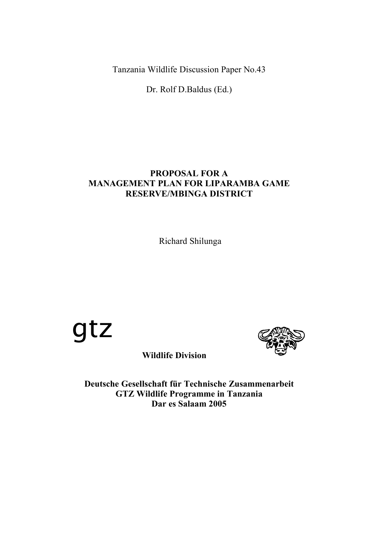Tanzania Wildlife Discussion Paper No.43

Dr. Rolf D.Baldus (Ed.)

# **PROPOSAL FOR A MANAGEMENT PLAN FOR LIPARAMBA GAME RESERVE/MBINGA DISTRICT**

Richard Shilunga





**Wildlife Division**

**Deutsche Gesellschaft für Technische Zusammenarbeit GTZ Wildlife Programme in Tanzania Dar es Salaam 2005**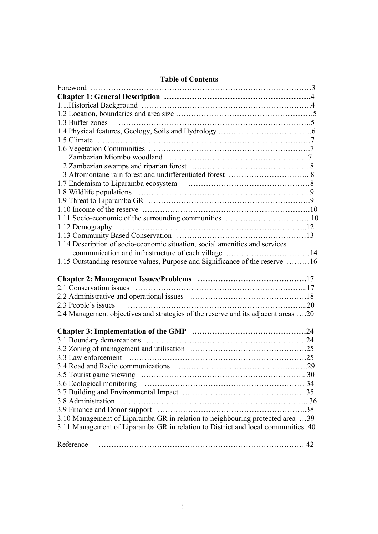| <b>Table of Contents</b> |  |
|--------------------------|--|
|--------------------------|--|

| 1.3 Buffer zones                                                                  |  |
|-----------------------------------------------------------------------------------|--|
|                                                                                   |  |
|                                                                                   |  |
|                                                                                   |  |
|                                                                                   |  |
|                                                                                   |  |
|                                                                                   |  |
|                                                                                   |  |
|                                                                                   |  |
|                                                                                   |  |
|                                                                                   |  |
|                                                                                   |  |
|                                                                                   |  |
|                                                                                   |  |
| 1.14 Description of socio-economic situation, social amenities and services       |  |
|                                                                                   |  |
| 1.15 Outstanding resource values, Purpose and Significance of the reserve 16      |  |
|                                                                                   |  |
|                                                                                   |  |
|                                                                                   |  |
|                                                                                   |  |
|                                                                                   |  |
| 2.3 People's issues                                                               |  |
| 2.4 Management objectives and strategies of the reserve and its adjacent areas 20 |  |
|                                                                                   |  |
|                                                                                   |  |
|                                                                                   |  |
|                                                                                   |  |
|                                                                                   |  |
|                                                                                   |  |
|                                                                                   |  |
|                                                                                   |  |
|                                                                                   |  |
|                                                                                   |  |
|                                                                                   |  |
| 3.10 Management of Liparamba GR in relation to neighbouring protected area 39     |  |
| 3.11 Management of Liparamba GR in relation to District and local communities .40 |  |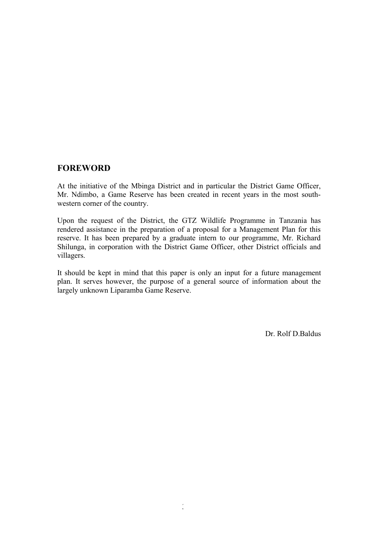# **FOREWORD**

At the initiative of the Mbinga District and in particular the District Game Officer, Mr. Ndimbo, a Game Reserve has been created in recent years in the most southwestern corner of the country.

Upon the request of the District, the GTZ Wildlife Programme in Tanzania has rendered assistance in the preparation of a proposal for a Management Plan for this reserve. It has been prepared by a graduate intern to our programme, Mr. Richard Shilunga, in corporation with the District Game Officer, other District officials and villagers.

It should be kept in mind that this paper is only an input for a future management plan. It serves however, the purpose of a general source of information about the largely unknown Liparamba Game Reserve.

Dr. Rolf D.Baldus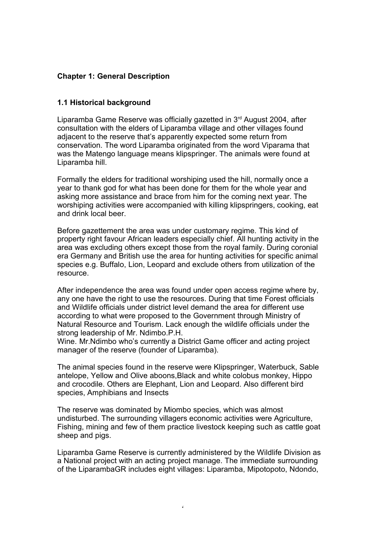## **Chapter 1: General Description**

## **1.1 Historical background**

Liparamba Game Reserve was officially gazetted in 3<sup>rd</sup> August 2004, after consultation with the elders of Liparamba village and other villages found adjacent to the reserve that's apparently expected some return from conservation. The word Liparamba originated from the word Viparama that was the Matengo language means klipspringer. The animals were found at Liparamba hill.

Formally the elders for traditional worshiping used the hill, normally once a year to thank god for what has been done for them for the whole year and asking more assistance and brace from him for the coming next year. The worshiping activities were accompanied with killing klipspringers, cooking, eat and drink local beer.

Before gazettement the area was under customary regime. This kind of property right favour African leaders especially chief. All hunting activity in the area was excluding others except those from the royal family. During coronial era Germany and British use the area for hunting activities for specific animal species e.g. Buffalo, Lion, Leopard and exclude others from utilization of the resource.

After independence the area was found under open access regime where by, any one have the right to use the resources. During that time Forest officials and Wildlife officials under district level demand the area for different use according to what were proposed to the Government through Ministry of Natural Resource and Tourism. Lack enough the wildlife officials under the strong leadership of Mr. Ndimbo.P.H.

Wine. Mr.Ndimbo who's currently a District Game officer and acting project manager of the reserve (founder of Liparamba).

The animal species found in the reserve were Klipspringer, Waterbuck, Sable antelope, Yellow and Olive aboons,Black and white colobus monkey, Hippo and crocodile. Others are Elephant, Lion and Leopard. Also different bird species, Amphibians and Insects

The reserve was dominated by Miombo species, which was almost undisturbed. The surrounding villagers economic activities were Agriculture, Fishing, mining and few of them practice livestock keeping such as cattle goat sheep and pigs.

Liparamba Game Reserve is currently administered by the Wildlife Division as a National project with an acting project manage. The immediate surrounding of the LiparambaGR includes eight villages: Liparamba, Mipotopoto, Ndondo,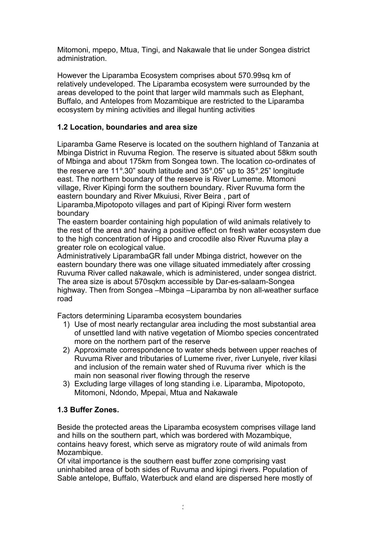Mitomoni, mpepo, Mtua, Tingi, and Nakawale that lie under Songea district administration.

However the Liparamba Ecosystem comprises about 570.99sq km of relatively undeveloped. The Liparamba ecosystem were surrounded by the areas developed to the point that larger wild mammals such as Elephant, Buffalo, and Antelopes from Mozambique are restricted to the Liparamba ecosystem by mining activities and illegal hunting activities

# **1.2 Location, boundaries and area size**

Liparamba Game Reserve is located on the southern highland of Tanzania at Mbinga District in Ruvuma Region. The reserve is situated about 58km south of Mbinga and about 175km from Songea town. The location co-ordinates of the reserve are 11°.30" south latitude and 35°.05" up to 35°.25" longitude east. The northern boundary of the reserve is River Lumeme. Mtomoni village, River Kipingi form the southern boundary. River Ruvuma form the eastern boundary and River Mkuiusi, River Beira , part of Liparamba,Mipotopoto villages and part of Kipingi River form western boundary

The eastern boarder containing high population of wild animals relatively to the rest of the area and having a positive effect on fresh water ecosystem due to the high concentration of Hippo and crocodile also River Ruvuma play a greater role on ecological value.

Administratively LiparambaGR fall under Mbinga district, however on the eastern boundary there was one village situated immediately after crossing Ruvuma River called nakawale, which is administered, under songea district. The area size is about 570sqkm accessible by Dar-es-salaam-Songea highway. Then from Songea –Mbinga –Liparamba by non all-weather surface road

Factors determining Liparamba ecosystem boundaries

- 1) Use of most nearly rectangular area including the most substantial area of unsettled land with native vegetation of Miombo species concentrated more on the northern part of the reserve
- 2) Approximate correspondence to water sheds between upper reaches of Ruvuma River and tributaries of Lumeme river, river Lunyele, river kilasi and inclusion of the remain water shed of Ruvuma river which is the main non seasonal river flowing through the reserve
- 3) Excluding large villages of long standing i.e. Liparamba, Mipotopoto, Mitomoni, Ndondo, Mpepai, Mtua and Nakawale

# **1.3 Buffer Zones.**

Beside the protected areas the Liparamba ecosystem comprises village land and hills on the southern part, which was bordered with Mozambique, contains heavy forest, which serve as migratory route of wild animals from Mozambique.

Of vital importance is the southern east buffer zone comprising vast uninhabited area of both sides of Ruvuma and kipingi rivers. Population of Sable antelope, Buffalo, Waterbuck and eland are dispersed here mostly of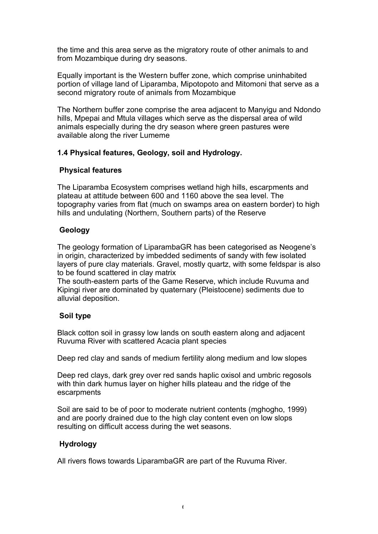the time and this area serve as the migratory route of other animals to and from Mozambique during dry seasons.

Equally important is the Western buffer zone, which comprise uninhabited portion of village land of Liparamba, Mipotopoto and Mitomoni that serve as a second migratory route of animals from Mozambique

The Northern buffer zone comprise the area adjacent to Manyigu and Ndondo hills, Mpepai and Mtula villages which serve as the dispersal area of wild animals especially during the dry season where green pastures were available along the river Lumeme

# **1.4 Physical features, Geology, soil and Hydrology.**

## **Physical features**

The Liparamba Ecosystem comprises wetland high hills, escarpments and plateau at attitude between 600 and 1160 above the sea level. The topography varies from flat (much on swamps area on eastern border) to high hills and undulating (Northern, Southern parts) of the Reserve

## **Geology**

The geology formation of LiparambaGR has been categorised as Neogene's in origin, characterized by imbedded sediments of sandy with few isolated layers of pure clay materials. Gravel, mostly quartz, with some feldspar is also to be found scattered in clay matrix

The south-eastern parts of the Game Reserve, which include Ruvuma and Kipingi river are dominated by quaternary (Pleistocene) sediments due to alluvial deposition.

# **Soil type**

Black cotton soil in grassy low lands on south eastern along and adjacent Ruvuma River with scattered Acacia plant species

Deep red clay and sands of medium fertility along medium and low slopes

Deep red clays, dark grey over red sands haplic oxisol and umbric regosols with thin dark humus layer on higher hills plateau and the ridge of the escarpments

Soil are said to be of poor to moderate nutrient contents (mghogho, 1999) and are poorly drained due to the high clay content even on low slops resulting on difficult access during the wet seasons.

# **Hydrology**

All rivers flows towards LiparambaGR are part of the Ruvuma River.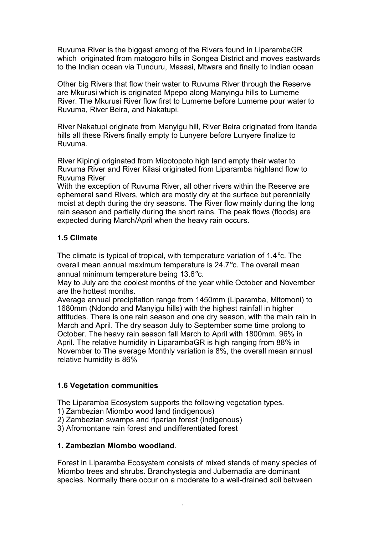Ruvuma River is the biggest among of the Rivers found in LiparambaGR which originated from matogoro hills in Songea District and moves eastwards to the Indian ocean via Tunduru, Masasi, Mtwara and finally to Indian ocean

Other big Rivers that flow their water to Ruvuma River through the Reserve are Mkurusi which is originated Mpepo along Manyingu hills to Lumeme River. The Mkurusi River flow first to Lumeme before Lumeme pour water to Ruvuma, River Beira, and Nakatupi.

River Nakatupi originate from Manyigu hill, River Beira originated from Itanda hills all these Rivers finally empty to Lunyere before Lunyere finalize to Ruvuma.

River Kipingi originated from Mipotopoto high land empty their water to Ruvuma River and River Kilasi originated from Liparamba highland flow to Ruvuma River

With the exception of Ruvuma River, all other rivers within the Reserve are ephemeral sand Rivers, which are mostly dry at the surface but perennially moist at depth during the dry seasons. The River flow mainly during the long rain season and partially during the short rains. The peak flows (floods) are expected during March/April when the heavy rain occurs.

## **1.5 Climate**

The climate is typical of tropical, with temperature variation of 1.4°c. The overall mean annual maximum temperature is 24.7°c. The overall mean annual minimum temperature being 13.6°c.

May to July are the coolest months of the year while October and November are the hottest months.

Average annual precipitation range from 1450mm (Liparamba, Mitomoni) to 1680mm (Ndondo and Manyigu hills) with the highest rainfall in higher attitudes. There is one rain season and one dry season, with the main rain in March and April. The dry season July to September some time prolong to October. The heavy rain season fall March to April with 1800mm. 96% in April. The relative humidity in LiparambaGR is high ranging from 88% in November to The average Monthly variation is 8%, the overall mean annual relative humidity is 86%

## **1.6 Vegetation communities**

The Liparamba Ecosystem supports the following vegetation types.

- 1) Zambezian Miombo wood land (indigenous)
- 2) Zambezian swamps and riparian forest (indigenous)
- 3) Afromontane rain forest and undifferentiated forest

## **1. Zambezian Miombo woodland**.

Forest in Liparamba Ecosystem consists of mixed stands of many species of Miombo trees and shrubs. Branchystegia and Julbernadia are dominant species. Normally there occur on a moderate to a well-drained soil between

 $\lambda$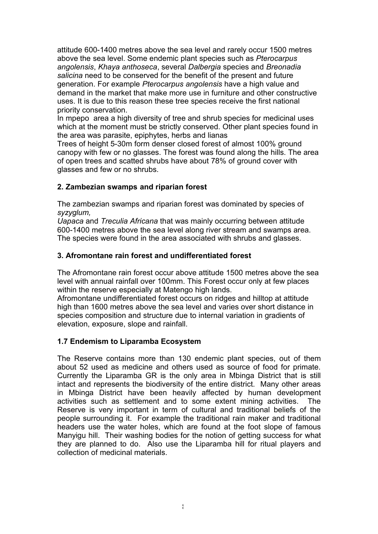attitude 600-1400 metres above the sea level and rarely occur 1500 metres above the sea level. Some endemic plant species such as *Pterocarpus angolensis*, *Khaya anthoseca*, several *Dalbergia* species and *Breonadia salicina* need to be conserved for the benefit of the present and future generation. For example *Pterocarpus angolensis* have a high value and demand in the market that make more use in furniture and other constructive uses. It is due to this reason these tree species receive the first national priority conservation.

In mpepo area a high diversity of tree and shrub species for medicinal uses which at the moment must be strictly conserved. Other plant species found in the area was parasite, epiphytes, herbs and lianas

Trees of height 5-30m form denser closed forest of almost 100% ground canopy with few or no glasses. The forest was found along the hills. The area of open trees and scatted shrubs have about 78% of ground cover with glasses and few or no shrubs.

# **2. Zambezian swamps and riparian forest**

The zambezian swamps and riparian forest was dominated by species of *syzyglum,*

*Uapaca* and *Treculia Africana* that was mainly occurring between attitude 600-1400 metres above the sea level along river stream and swamps area. The species were found in the area associated with shrubs and glasses.

## **3. Afromontane rain forest and undifferentiated forest**

The Afromontane rain forest occur above attitude 1500 metres above the sea level with annual rainfall over 100mm. This Forest occur only at few places within the reserve especially at Matengo high lands.

Afromontane undifferentiated forest occurs on ridges and hilltop at attitude high than 1600 metres above the sea level and varies over short distance in species composition and structure due to internal variation in gradients of elevation, exposure, slope and rainfall.

## **1.7 Endemism to Liparamba Ecosystem**

The Reserve contains more than 130 endemic plant species, out of them about 52 used as medicine and others used as source of food for primate. Currently the Liparamba GR is the only area in Mbinga District that is still intact and represents the biodiversity of the entire district. Many other areas in Mbinga District have been heavily affected by human development activities such as settlement and to some extent mining activities. The Reserve is very important in term of cultural and traditional beliefs of the people surrounding it. For example the traditional rain maker and traditional headers use the water holes, which are found at the foot slope of famous Manyigu hill. Their washing bodies for the notion of getting success for what they are planned to do. Also use the Liparamba hill for ritual players and collection of medicinal materials.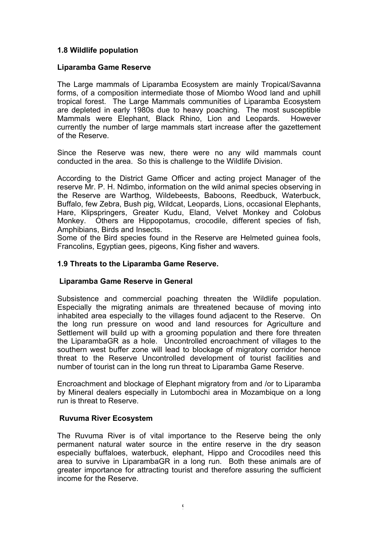## **1.8 Wildlife population**

### **Liparamba Game Reserve**

The Large mammals of Liparamba Ecosystem are mainly Tropical/Savanna forms, of a composition intermediate those of Miombo Wood land and uphill tropical forest. The Large Mammals communities of Liparamba Ecosystem are depleted in early 1980s due to heavy poaching. The most susceptible Mammals were Elephant, Black Rhino, Lion and Leopards. However currently the number of large mammals start increase after the gazettement of the Reserve.

Since the Reserve was new, there were no any wild mammals count conducted in the area. So this is challenge to the Wildlife Division.

According to the District Game Officer and acting project Manager of the reserve Mr. P. H. Ndimbo, information on the wild animal species observing in the Reserve are Warthog, Wildebeests, Baboons, Reedbuck, Waterbuck, Buffalo, few Zebra, Bush pig, Wildcat, Leopards, Lions, occasional Elephants, Hare, Klipspringers, Greater Kudu, Eland, Velvet Monkey and Colobus Monkey. Others are Hippopotamus, crocodile, different species of fish, Amphibians, Birds and Insects.

Some of the Bird species found in the Reserve are Helmeted guinea fools, Francolins, Egyptian gees, pigeons, King fisher and wavers.

#### **1.9 Threats to the Liparamba Game Reserve.**

#### **Liparamba Game Reserve in General**

Subsistence and commercial poaching threaten the Wildlife population. Especially the migrating animals are threatened because of moving into inhabited area especially to the villages found adjacent to the Reserve. On the long run pressure on wood and land resources for Agriculture and Settlement will build up with a grooming population and there fore threaten the LiparambaGR as a hole. Uncontrolled encroachment of villages to the southern west buffer zone will lead to blockage of migratory corridor hence threat to the Reserve Uncontrolled development of tourist facilities and number of tourist can in the long run threat to Liparamba Game Reserve.

Encroachment and blockage of Elephant migratory from and /or to Liparamba by Mineral dealers especially in Lutombochi area in Mozambique on a long run is threat to Reserve.

#### **Ruvuma River Ecosystem**

The Ruvuma River is of vital importance to the Reserve being the only permanent natural water source in the entire reserve in the dry season especially buffaloes, waterbuck, elephant, Hippo and Crocodiles need this area to survive in LiparambaGR in a long run. Both these animals are of greater importance for attracting tourist and therefore assuring the sufficient income for the Reserve.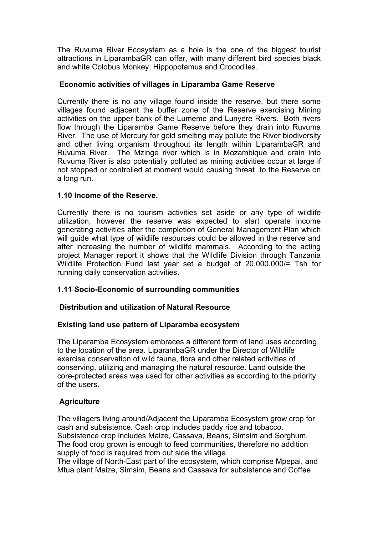The Ruvuma River Ecosystem as a hole is the one of the biggest tourist attractions in LiparambaGR can offer, with many different bird species black and white Colobus Monkey, Hippopotamus and Crocodiles.

## **Economic activities of villages in Liparamba Game Reserve**

Currently there is no any village found inside the reserve, but there some villages found adjacent the buffer zone of the Reserve exercising Mining activities on the upper bank of the Lumeme and Lunyere Rivers. Both rivers flow through the Liparamba Game Reserve before they drain into Ruvuma River. The use of Mercury for gold smelting may pollute the River biodiversity and other living organism throughout its length within LiparambaGR and Ruvuma River. The Mzinge river which is in Mozambique and drain into Ruvuma River is also potentially polluted as mining activities occur at large if not stopped or controlled at moment would causing threat to the Reserve on a long run.

#### **1.10 Income of the Reserve.**

Currently there is no tourism activities set aside or any type of wildlife utilization, however the reserve was expected to start operate income generating activities after the completion of General Management Plan which will guide what type of wildlife resources could be allowed in the reserve and after increasing the number of wildlife mammals. According to the acting project Manager report it shows that the Wildlife Division through Tanzania Wildlife Protection Fund last year set a budget of 20,000,000/= Tsh for running daily conservation activities.

## **1.11 Socio-Economic of surrounding communities**

## **Distribution and utilization of Natural Resource**

## **Existing land use pattern of Liparamba ecosystem**

The Liparamba Ecosystem embraces a different form of land uses according to the location of the area. LiparambaGR under the Director of Wildlife exercise conservation of wild fauna, flora and other related activities of conserving, utilizing and managing the natural resource. Land outside the core-protected areas was used for other activities as according to the priority of the users.

#### **Agriculture**

The villagers living around/Adjacent the Liparamba Ecosystem grow crop for cash and subsistence. Cash crop includes paddy rice and tobacco. Subsistence crop includes Maize, Cassava, Beans, Simsim and Sorghum. The food crop grown is enough to feed communities, therefore no addition supply of food is required from out side the village.

The village of North-East part of the ecosystem, which comprise Mpepai, and Mtua plant Maize, Simsim, Beans and Cassava for subsistence and Coffee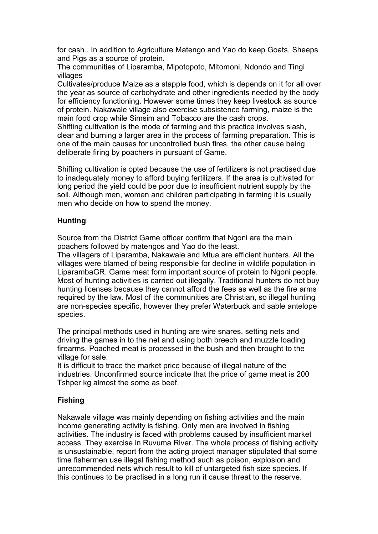for cash.. In addition to Agriculture Matengo and Yao do keep Goats, Sheeps and Pigs as a source of protein.

The communities of Liparamba, Mipotopoto, Mitomoni, Ndondo and Tingi villages

Cultivates/produce Maize as a stapple food, which is depends on it for all over the year as source of carbohydrate and other ingredients needed by the body for efficiency functioning. However some times they keep livestock as source of protein. Nakawale village also exercise subsistence farming, maize is the main food crop while Simsim and Tobacco are the cash crops.

Shifting cultivation is the mode of farming and this practice involves slash, clear and burning a larger area in the process of farming preparation. This is one of the main causes for uncontrolled bush fires, the other cause being deliberate firing by poachers in pursuant of Game.

Shifting cultivation is opted because the use of fertilizers is not practised due to inadequately money to afford buying fertilizers. If the area is cultivated for long period the yield could be poor due to insufficient nutrient supply by the soil. Although men, women and children participating in farming it is usually men who decide on how to spend the money.

## **Hunting**

Source from the District Game officer confirm that Ngoni are the main poachers followed by matengos and Yao do the least.

The villagers of Liparamba, Nakawale and Mtua are efficient hunters. All the villages were blamed of being responsible for decline in wildlife population in LiparambaGR. Game meat form important source of protein to Ngoni people. Most of hunting activities is carried out illegally. Traditional hunters do not buy hunting licenses because they cannot afford the fees as well as the fire arms required by the law. Most of the communities are Christian, so illegal hunting are non-species specific, however they prefer Waterbuck and sable antelope species.

The principal methods used in hunting are wire snares, setting nets and driving the games in to the net and using both breech and muzzle loading firearms. Poached meat is processed in the bush and then brought to the village for sale.

It is difficult to trace the market price because of illegal nature of the industries. Unconfirmed source indicate that the price of game meat is 200 Tshper kg almost the some as beef.

## **Fishing**

Nakawale village was mainly depending on fishing activities and the main income generating activity is fishing. Only men are involved in fishing activities. The industry is faced with problems caused by insufficient market access. They exercise in Ruvuma River. The whole process of fishing activity is unsustainable, report from the acting project manager stipulated that some time fishermen use illegal fishing method such as poison, explosion and unrecommended nets which result to kill of untargeted fish size species. If this continues to be practised in a long run it cause threat to the reserve.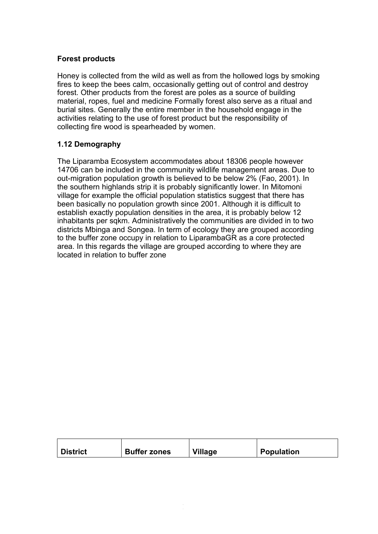## **Forest products**

Honey is collected from the wild as well as from the hollowed logs by smoking fires to keep the bees calm, occasionally getting out of control and destroy forest. Other products from the forest are poles as a source of building material, ropes, fuel and medicine Formally forest also serve as a ritual and burial sites. Generally the entire member in the household engage in the activities relating to the use of forest product but the responsibility of collecting fire wood is spearheaded by women.

## **1.12 Demography**

The Liparamba Ecosystem accommodates about 18306 people however 14706 can be included in the community wildlife management areas. Due to out-migration population growth is believed to be below 2% (Fao, 2001). In the southern highlands strip it is probably significantly lower. In Mitomoni village for example the official population statistics suggest that there has been basically no population growth since 2001. Although it is difficult to establish exactly population densities in the area, it is probably below 12 inhabitants per sqkm. Administratively the communities are divided in to two districts Mbinga and Songea. In term of ecology they are grouped according to the buffer zone occupy in relation to LiparambaGR as a core protected area. In this regards the village are grouped according to where they are located in relation to buffer zone

| ∣ District | <b>Buffer zones</b> | <b>Village</b> | <b>Population</b> |
|------------|---------------------|----------------|-------------------|
|            |                     |                |                   |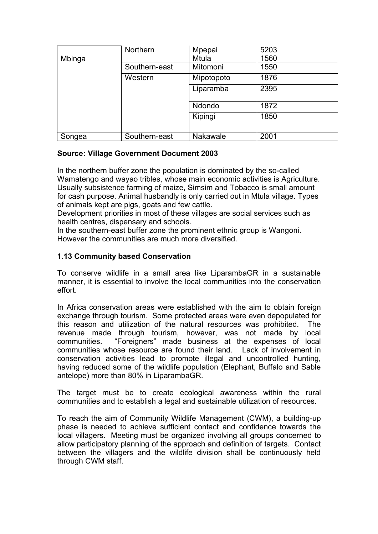| Mbinga | <b>Northern</b> | Mpepai<br><b>Mtula</b> | 5203<br>1560 |
|--------|-----------------|------------------------|--------------|
|        | Southern-east   | Mitomoni               | 1550         |
|        | Western         | Mipotopoto             | 1876         |
|        |                 | Liparamba              | 2395         |
|        |                 | Ndondo                 | 1872         |
|        |                 | Kipingi                | 1850         |
| Songea | Southern-east   | <b>Nakawale</b>        | 2001         |

## **Source: Village Government Document 2003**

In the northern buffer zone the population is dominated by the so-called Wamatengo and wayao tribles, whose main economic activities is Agriculture. Usually subsistence farming of maize, Simsim and Tobacco is small amount for cash purpose. Animal husbandly is only carried out in Mtula village. Types of animals kept are pigs, goats and few cattle.

Development priorities in most of these villages are social services such as health centres, dispensary and schools.

In the southern-east buffer zone the prominent ethnic group is Wangoni. However the communities are much more diversified.

## **1.13 Community based Conservation**

To conserve wildlife in a small area like LiparambaGR in a sustainable manner, it is essential to involve the local communities into the conservation effort.

In Africa conservation areas were established with the aim to obtain foreign exchange through tourism. Some protected areas were even depopulated for this reason and utilization of the natural resources was prohibited. The revenue made through tourism, however, was not made by local communities. "Foreigners" made business at the expenses of local communities whose resource are found their land. Lack of involvement in conservation activities lead to promote illegal and uncontrolled hunting, having reduced some of the wildlife population (Elephant, Buffalo and Sable antelope) more than 80% in LiparambaGR.

The target must be to create ecological awareness within the rural communities and to establish a legal and sustainable utilization of resources.

To reach the aim of Community Wildlife Management (CWM), a building-up phase is needed to achieve sufficient contact and confidence towards the local villagers. Meeting must be organized involving all groups concerned to allow participatory planning of the approach and definition of targets. Contact between the villagers and the wildlife division shall be continuously held through CWM staff.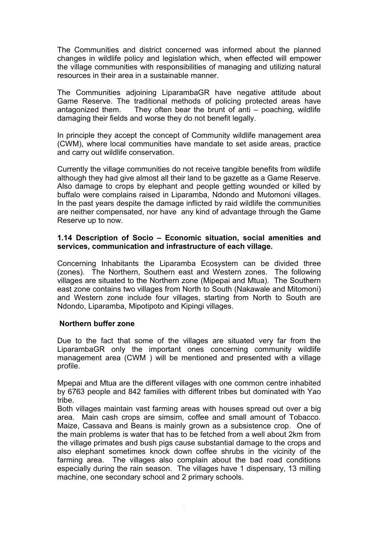The Communities and district concerned was informed about the planned changes in wildlife policy and legislation which, when effected will empower the village communities with responsibilities of managing and utilizing natural resources in their area in a sustainable manner.

The Communities adjoining LiparambaGR have negative attitude about Game Reserve. The traditional methods of policing protected areas have antagonized them. They often bear the brunt of anti – poaching, wildlife damaging their fields and worse they do not benefit legally.

In principle they accept the concept of Community wildlife management area (CWM), where local communities have mandate to set aside areas, practice and carry out wildlife conservation.

Currently the village communities do not receive tangible benefits from wildlife although they had give almost all their land to be gazette as a Game Reserve. Also damage to crops by elephant and people getting wounded or killed by buffalo were complains raised in Liparamba, Ndondo and Mutomoni villages. In the past years despite the damage inflicted by raid wildlife the communities are neither compensated, nor have any kind of advantage through the Game Reserve up to now.

#### **1.14 Description of Socio – Economic situation, social amenities and services, communication and infrastructure of each village.**

Concerning Inhabitants the Liparamba Ecosystem can be divided three (zones). The Northern, Southern east and Western zones. The following villages are situated to the Northern zone (Mipepai and Mtua). The Southern east zone contains two villages from North to South (Nakawale and Mitomoni) and Western zone include four villages, starting from North to South are Ndondo, Liparamba, Mipotipoto and Kipingi villages.

#### **Northern buffer zone**

Due to the fact that some of the villages are situated very far from the LiparambaGR only the important ones concerning community wildlife management area (CWM ) will be mentioned and presented with a village profile.

Mpepai and Mtua are the different villages with one common centre inhabited by 6763 people and 842 families with different tribes but dominated with Yao tribe.

Both villages maintain vast farming areas with houses spread out over a big area. Main cash crops are simsim, coffee and small amount of Tobacco. Maize, Cassava and Beans is mainly grown as a subsistence crop. One of the main problems is water that has to be fetched from a well about 2km from the village primates and bush pigs cause substantial damage to the crops and also elephant sometimes knock down coffee shrubs in the vicinity of the farming area. The villages also complain about the bad road conditions especially during the rain season. The villages have 1 dispensary, 13 milling machine, one secondary school and 2 primary schools.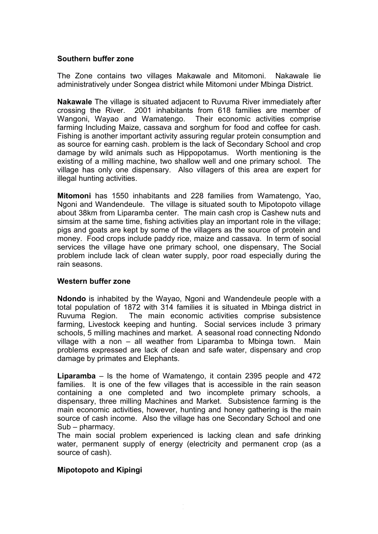#### **Southern buffer zone**

The Zone contains two villages Makawale and Mitomoni. Nakawale lie administratively under Songea district while Mitomoni under Mbinga District.

**Nakawale** The village is situated adjacent to Ruvuma River immediately after crossing the River. 2001 inhabitants from 618 families are member of Wangoni, Wayao and Wamatengo. Their economic activities comprise farming Including Maize, cassava and sorghum for food and coffee for cash. Fishing is another important activity assuring regular protein consumption and as source for earning cash. problem is the lack of Secondary School and crop damage by wild animals such as Hippopotamus. Worth mentioning is the existing of a milling machine, two shallow well and one primary school. The village has only one dispensary. Also villagers of this area are expert for illegal hunting activities.

**Mitomoni** has 1550 inhabitants and 228 families from Wamatengo, Yao, Ngoni and Wandendeule. The village is situated south to Mipotopoto village about 38km from Liparamba center. The main cash crop is Cashew nuts and simsim at the same time, fishing activities play an important role in the village; pigs and goats are kept by some of the villagers as the source of protein and money. Food crops include paddy rice, maize and cassava. In term of social services the village have one primary school, one dispensary, The Social problem include lack of clean water supply, poor road especially during the rain seasons.

#### **Western buffer zone**

**Ndondo** is inhabited by the Wayao, Ngoni and Wandendeule people with a total population of 1872 with 314 families it is situated in Mbinga district in Ruvuma Region. The main economic activities comprise subsistence farming, Livestock keeping and hunting. Social services include 3 primary schools, 5 milling machines and market. A seasonal road connecting Ndondo village with a non – all weather from Liparamba to Mbinga town. Main problems expressed are lack of clean and safe water, dispensary and crop damage by primates and Elephants.

**Liparamba** – Is the home of Wamatengo, it contain 2395 people and 472 families. It is one of the few villages that is accessible in the rain season containing a one completed and two incomplete primary schools, a dispensary, three milling Machines and Market. Subsistence farming is the main economic activities, however, hunting and honey gathering is the main source of cash income. Also the village has one Secondary School and one Sub – pharmacy.

The main social problem experienced is lacking clean and safe drinking water, permanent supply of energy (electricity and permanent crop (as a source of cash).

15

## **Mipotopoto and Kipingi**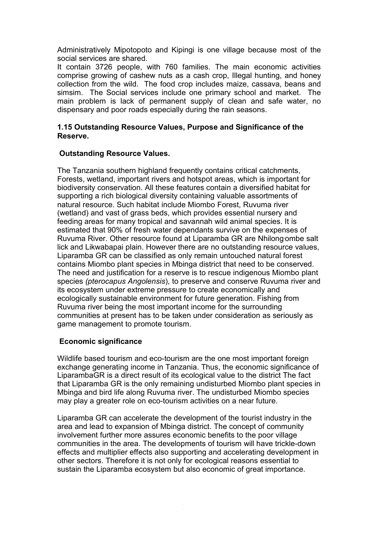Administratively Mipotopoto and Kipingi is one village because most of the social services are shared.

It contain 3726 people, with 760 families. The main economic activities comprise growing of cashew nuts as a cash crop, Illegal hunting, and honey collection from the wild. The food crop includes maize, cassava, beans and simsim. The Social services include one primary school and market. The main problem is lack of permanent supply of clean and safe water, no dispensary and poor roads especially during the rain seasons.

### **1.15 Outstanding Resource Values, Purpose and Significance of the Reserve.**

#### **Outstanding Resource Values.**

The Tanzania southern highland frequently contains critical catchments, Forests, wetland, important rivers and hotspot areas, which is important for biodiversity conservation. All these features contain a diversified habitat for supporting a rich biological diversity containing valuable assortments of natural resource. Such habitat include Miombo Forest, Ruvuma river (wetland) and vast of grass beds, which provides essential nursery and feeding areas for many tropical and savannah wild animal species. It is estimated that 90% of fresh water dependants survive on the expenses of Ruyuma River. Other resource found at Liparamba GR are Nhilong ombe salt lick and Likwabapai plain. However there are no outstanding resource values, Liparamba GR can be classified as only remain untouched natural forest contains Miombo plant species in Mbinga district that need to be conserved. The need and justification for a reserve is to rescue indigenous Miombo plant species *(pterocapus Angolensis*), to preserve and conserve Ruvuma river and its ecosystem under extreme pressure to create economically and ecologically sustainable environment for future generation. Fishing from Ruvuma river being the most important income for the surrounding communities at present has to be taken under consideration as seriously as game management to promote tourism.

## **Economic significance**

Wildlife based tourism and eco-tourism are the one most important foreign exchange generating income in Tanzania. Thus, the economic significance of LiparambaGR is a direct result of its ecological value to the district The fact that Liparamba GR is the only remaining undisturbed Miombo plant species in Mbinga and bird life along Ruvuma river. The undisturbed Miombo species may play a greater role on eco-tourism activities on a near future.

Liparamba GR can accelerate the development of the tourist industry in the area and lead to expansion of Mbinga district. The concept of community involvement further more assures economic benefits to the poor village communities in the area. The developments of tourism will have trickle-down effects and multiplier effects also supporting and accelerating development in other sectors. Therefore it is not only for ecological reasons essential to sustain the Liparamba ecosystem but also economic of great importance.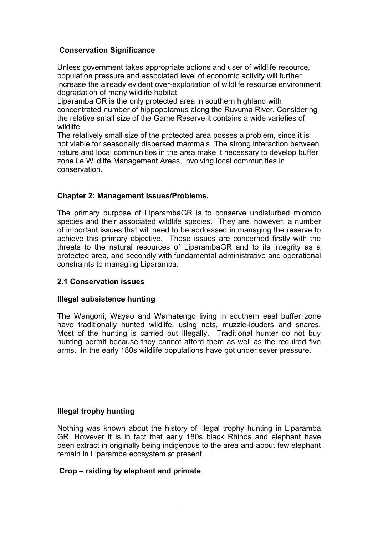## **Conservation Significance**

Unless government takes appropriate actions and user of wildlife resource, population pressure and associated level of economic activity will further increase the already evident over-exploitation of wildlife resource environment degradation of many wildlife habitat

Liparamba GR is the only protected area in southern highland with concentrated number of hippopotamus along the Ruvuma River. Considering the relative small size of the Game Reserve it contains a wide varieties of wildlife

The relatively small size of the protected area posses a problem, since it is not viable for seasonally dispersed mammals. The strong interaction between nature and local communities in the area make it necessary to develop buffer zone i.e Wildlife Management Areas, involving local communities in conservation.

## **Chapter 2: Management Issues/Problems.**

The primary purpose of LiparambaGR is to conserve undisturbed miombo species and their associated wildlife species. They are, however, a number of important issues that will need to be addressed in managing the reserve to achieve this primary objective. These issues are concerned firstly with the threats to the natural resources of LiparambaGR and to its integrity as a protected area, and secondly with fundamental administrative and operational constraints to managing Liparamba.

## **2.1 Conservation issues**

## **Illegal subsistence hunting**

The Wangoni, Wayao and Wamatengo living in southern east buffer zone have traditionally hunted wildlife, using nets, muzzle-louders and snares. Most of the hunting is carried out Illegally. Traditional hunter do not buy hunting permit because they cannot afford them as well as the required five arms. In the early 180s wildlife populations have got under sever pressure.

## **Illegal trophy hunting**

Nothing was known about the history of illegal trophy hunting in Liparamba GR. However it is in fact that early 180s black Rhinos and elephant have been extract in originally being indigenous to the area and about few elephant remain in Liparamba ecosystem at present.

17

## **Crop – raiding by elephant and primate**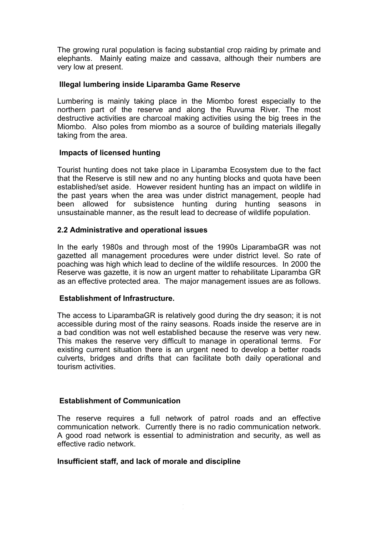The growing rural population is facing substantial crop raiding by primate and elephants. Mainly eating maize and cassava, although their numbers are very low at present.

### **Illegal lumbering inside Liparamba Game Reserve**

Lumbering is mainly taking place in the Miombo forest especially to the northern part of the reserve and along the Ruvuma River. The most destructive activities are charcoal making activities using the big trees in the Miombo. Also poles from miombo as a source of building materials illegally taking from the area.

## **Impacts of licensed hunting**

Tourist hunting does not take place in Liparamba Ecosystem due to the fact that the Reserve is still new and no any hunting blocks and quota have been established/set aside. However resident hunting has an impact on wildlife in the past years when the area was under district management, people had been allowed for subsistence hunting during hunting seasons in unsustainable manner, as the result lead to decrease of wildlife population.

## **2.2 Administrative and operational issues**

In the early 1980s and through most of the 1990s LiparambaGR was not gazetted all management procedures were under district level. So rate of poaching was high which lead to decline of the wildlife resources. In 2000 the Reserve was gazette, it is now an urgent matter to rehabilitate Liparamba GR as an effective protected area. The major management issues are as follows.

## **Establishment of Infrastructure.**

The access to LiparambaGR is relatively good during the dry season; it is not accessible during most of the rainy seasons. Roads inside the reserve are in a bad condition was not well established because the reserve was very new. This makes the reserve very difficult to manage in operational terms. For existing current situation there is an urgent need to develop a better roads culverts, bridges and drifts that can facilitate both daily operational and tourism activities.

## **Establishment of Communication**

The reserve requires a full network of patrol roads and an effective communication network. Currently there is no radio communication network. A good road network is essential to administration and security, as well as effective radio network.

18

#### **Insufficient staff, and lack of morale and discipline**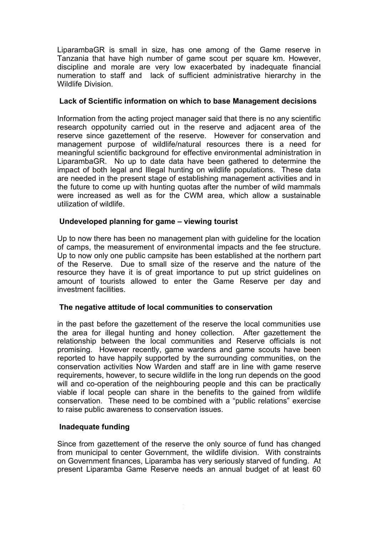LiparambaGR is small in size, has one among of the Game reserve in Tanzania that have high number of game scout per square km. However, discipline and morale are very low exacerbated by inadequate financial numeration to staff and lack of sufficient administrative hierarchy in the Wildlife Division.

## **Lack of Scientific information on which to base Management decisions**

Information from the acting project manager said that there is no any scientific research oppotunity carried out in the reserve and adjacent area of the reserve since gazettement of the reserve. However for conservation and management purpose of wildlife/natural resources there is a need for meaningful scientific background for effective environmental administration in LiparambaGR. No up to date data have been gathered to determine the impact of both legal and Illegal hunting on wildlife populations. These data are needed in the present stage of establishing management activities and in the future to come up with hunting quotas after the number of wild mammals were increased as well as for the CWM area, which allow a sustainable utilization of wildlife.

## **Undeveloped planning for game – viewing tourist**

Up to now there has been no management plan with guideline for the location of camps, the measurement of environmental impacts and the fee structure. Up to now only one public campsite has been established at the northern part of the Reserve. Due to small size of the reserve and the nature of the resource they have it is of great importance to put up strict guidelines on amount of tourists allowed to enter the Game Reserve per day and investment facilities.

## **The negative attitude of local communities to conservation**

in the past before the gazettement of the reserve the local communities use the area for illegal hunting and honey collection. After gazettement the relationship between the local communities and Reserve officials is not promising. However recently, game wardens and game scouts have been reported to have happily supported by the surrounding communities, on the conservation activities Now Warden and staff are in line with game reserve requirements, however, to secure wildlife in the long run depends on the good will and co-operation of the neighbouring people and this can be practically viable if local people can share in the benefits to the gained from wildlife conservation. These need to be combined with a "public relations" exercise to raise public awareness to conservation issues.

## **Inadequate funding**

Since from gazettement of the reserve the only source of fund has changed from municipal to center Government, the wildlife division. With constraints on Government finances, Liparamba has very seriously starved of funding. At present Liparamba Game Reserve needs an annual budget of at least 60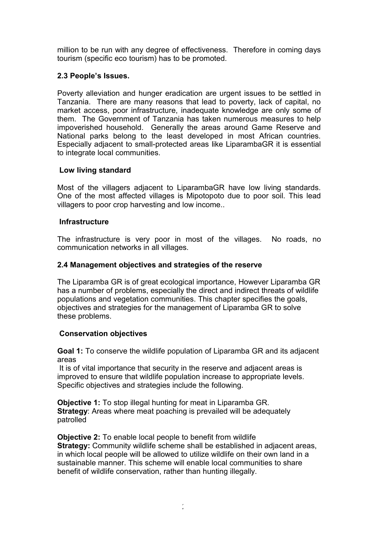million to be run with any degree of effectiveness. Therefore in coming days tourism (specific eco tourism) has to be promoted.

## **2.3 People's Issues.**

Poverty alleviation and hunger eradication are urgent issues to be settled in Tanzania. There are many reasons that lead to poverty, lack of capital, no market access, poor infrastructure, inadequate knowledge are only some of them. The Government of Tanzania has taken numerous measures to help impoverished household. Generally the areas around Game Reserve and National parks belong to the least developed in most African countries. Especially adjacent to small-protected areas like LiparambaGR it is essential to integrate local communities.

## **Low living standard**

Most of the villagers adjacent to LiparambaGR have low living standards. One of the most affected villages is Mipotopoto due to poor soil. This lead villagers to poor crop harvesting and low income..

## **Infrastructure**

The infrastructure is very poor in most of the villages. No roads, no communication networks in all villages.

## **2.4 Management objectives and strategies of the reserve**

The Liparamba GR is of great ecological importance, However Liparamba GR has a number of problems, especially the direct and indirect threats of wildlife populations and vegetation communities. This chapter specifies the goals, objectives and strategies for the management of Liparamba GR to solve these problems.

## **Conservation objectives**

**Goal 1:** To conserve the wildlife population of Liparamba GR and its adjacent areas

It is of vital importance that security in the reserve and adjacent areas is improved to ensure that wildlife population increase to appropriate levels. Specific objectives and strategies include the following.

**Objective 1:** To stop illegal hunting for meat in Liparamba GR. **Strategy:** Areas where meat poaching is prevailed will be adequately patrolled

**Objective 2:** To enable local people to benefit from wildlife **Strategy:** Community wildlife scheme shall be established in adjacent areas, in which local people will be allowed to utilize wildlife on their own land in a sustainable manner. This scheme will enable local communities to share benefit of wildlife conservation, rather than hunting illegally.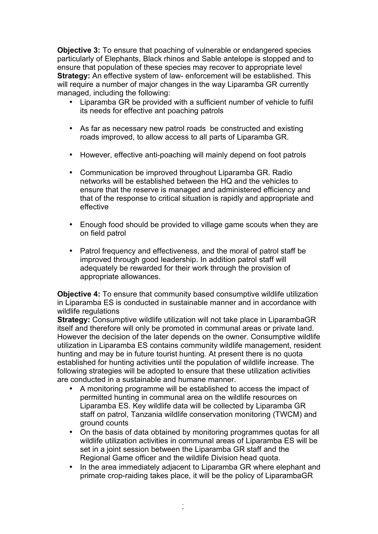**Objective 3:** To ensure that poaching of vulnerable or endangered species particularly of Elephants, Black rhinos and Sable antelope is stopped and to ensure that population of these species may recover to appropriate level **Strategy:** An effective system of law- enforcement will be established. This will require a number of major changes in the way Liparamba GR currently managed, including the following:

- Liparamba GR be provided with a sufficient number of vehicle to fulfil its needs for effective ant poaching patrols
- As far as necessary new patrol roads be constructed and existing roads improved, to allow access to all parts of Liparamba GR.
- However, effective anti-poaching will mainly depend on foot patrols
- Communication be improved throughout Liparamba GR. Radio networks will be established between the HQ and the vehicles to ensure that the reserve is managed and administered efficiency and that of the response to critical situation is rapidly and appropriate and effective
- Enough food should be provided to village game scouts when they are on field patrol
- Patrol frequency and effectiveness, and the moral of patrol staff be improved through good leadership. In addition patrol staff will adequately be rewarded for their work through the provision of appropriate allowances.

**Objective 4:** To ensure that community based consumptive wildlife utilization in Liparamba ES is conducted in sustainable manner and in accordance with wildlife regulations

**Strategy:** Consumptive wildlife utilization will not take place in LiparambaGR itself and therefore will only be promoted in communal areas or private land. However the decision of the later depends on the owner. Consumptive wildlife utilization in Liparamba ES contains community wildlife management, resident hunting and may be in future tourist hunting. At present there is no quota established for hunting activities until the population of wildlife increase. The following strategies will be adopted to ensure that these utilization activities are conducted in a sustainable and humane manner.

- A monitoring programme will be established to access the impact of permitted hunting in communal area on the wildlife resources on Liparamba ES. Key wildlife data will be collected by Liparamba GR staff on patrol, Tanzania wildlife conservation monitoring (TWCM) and ground counts
- On the basis of data obtained by monitoring programmes quotas for all wildlife utilization activities in communal areas of Liparamba ES will be set in a joint session between the Liparamba GR staff and the Regional Game officer and the wildlife Division head quota.
- In the area immediately adjacent to Liparamba GR where elephant and primate crop-raiding takes place, it will be the policy of LiparambaGR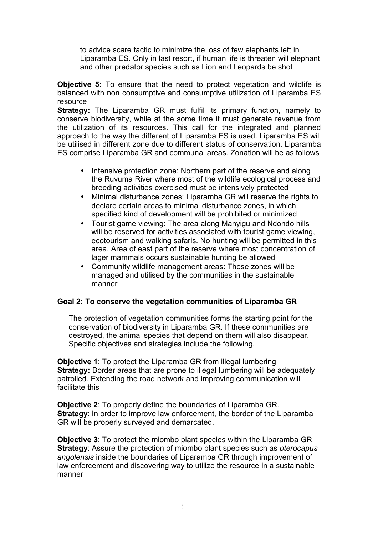to advice scare tactic to minimize the loss of few elephants left in Liparamba ES. Only in last resort, if human life is threaten will elephant and other predator species such as Lion and Leopards be shot

**Objective 5:** To ensure that the need to protect vegetation and wildlife is balanced with non consumptive and consumptive utilization of Liparamba ES resource

**Strategy:** The Liparamba GR must fulfil its primary function, namely to conserve biodiversity, while at the some time it must generate revenue from the utilization of its resources. This call for the integrated and planned approach to the way the different of Liparamba ES is used. Liparamba ES will be utilised in different zone due to different status of conservation. Liparamba ES comprise Liparamba GR and communal areas. Zonation will be as follows

- Intensive protection zone: Northern part of the reserve and along the Ruvuma River where most of the wildlife ecological process and breeding activities exercised must be intensively protected
- Minimal disturbance zones; Liparamba GR will reserve the rights to declare certain areas to minimal disturbance zones, in which specified kind of development will be prohibited or minimized
- Tourist game viewing: The area along Manyigu and Ndondo hills will be reserved for activities associated with tourist game viewing, ecotourism and walking safaris. No hunting will be permitted in this area. Area of east part of the reserve where most concentration of lager mammals occurs sustainable hunting be allowed
- Community wildlife management areas: These zones will be managed and utilised by the communities in the sustainable manner

## **Goal 2: To conserve the vegetation communities of Liparamba GR**

The protection of vegetation communities forms the starting point for the conservation of biodiversity in Liparamba GR. If these communities are destroyed, the animal species that depend on them will also disappear. Specific objectives and strategies include the following.

**Objective 1**: To protect the Liparamba GR from illegal lumbering **Strategy:** Border areas that are prone to illegal lumbering will be adequately patrolled. Extending the road network and improving communication will facilitate this

**Objective 2**: To properly define the boundaries of Liparamba GR. **Strategy:** In order to improve law enforcement, the border of the Liparamba GR will be properly surveyed and demarcated.

**Objective 3**: To protect the miombo plant species within the Liparamba GR **Strategy**: Assure the protection of miombo plant species such as *pterocapus angolensis* inside the boundaries of Liparamba GR through improvement of law enforcement and discovering way to utilize the resource in a sustainable manner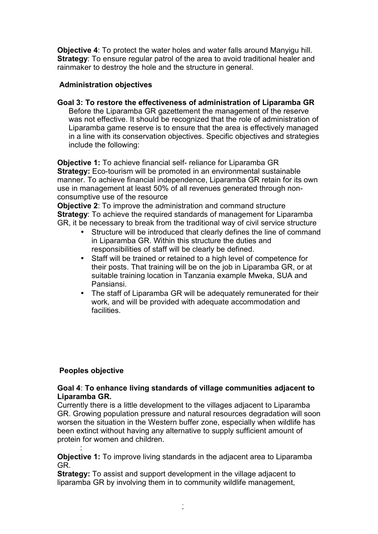**Objective 4**: To protect the water holes and water falls around Manyigu hill. **Strategy**: To ensure regular patrol of the area to avoid traditional healer and rainmaker to destroy the hole and the structure in general.

## **Administration objectives**

**Goal 3: To restore the effectiveness of administration of Liparamba GR** Before the Liparamba GR gazettement the management of the reserve was not effective. It should be recognized that the role of administration of Liparamba game reserve is to ensure that the area is effectively managed in a line with its conservation objectives. Specific objectives and strategies include the following:

**Objective 1:** To achieve financial self- reliance for Liparamba GR **Strategy:** Eco-tourism will be promoted in an environmental sustainable manner. To achieve financial independence, Liparamba GR retain for its own use in management at least 50% of all revenues generated through nonconsumptive use of the resource

**Objective 2**: To improve the administration and command structure **Strategy:** To achieve the required standards of management for Liparamba GR, it be necessary to break from the traditional way of civil service structure

- Structure will be introduced that clearly defines the line of command in Liparamba GR. Within this structure the duties and responsibilities of staff will be clearly be defined.
- Staff will be trained or retained to a high level of competence for their posts. That training will be on the job in Liparamba GR, or at suitable training location in Tanzania example Mweka, SUA and Pansiansi.
- The staff of Liparamba GR will be adequately remunerated for their work, and will be provided with adequate accommodation and facilities.

## **Peoples objective**

:

## **Goal 4**: **To enhance living standards of village communities adjacent to Liparamba GR.**

Currently there is a little development to the villages adjacent to Liparamba GR. Growing population pressure and natural resources degradation will soon worsen the situation in the Western buffer zone, especially when wildlife has been extinct without having any alternative to supply sufficient amount of protein for women and children.

**Objective 1:** To improve living standards in the adjacent area to Liparamba GR.

**Strategy:** To assist and support development in the village adjacent to liparamba GR by involving them in to community wildlife management,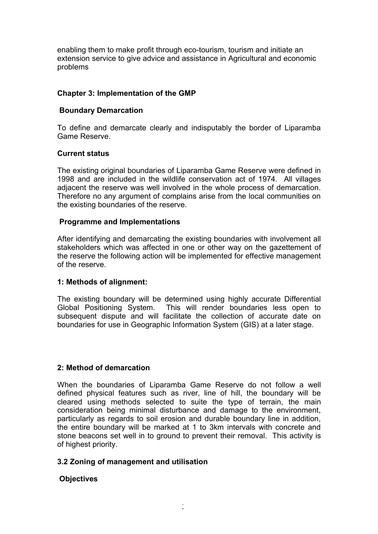enabling them to make profit through eco-tourism, tourism and initiate an extension service to give advice and assistance in Agricultural and economic problems

## **Chapter 3: Implementation of the GMP**

## **Boundary Demarcation**

To define and demarcate clearly and indisputably the border of Liparamba Game Reserve.

## **Current status**

The existing original boundaries of Liparamba Game Reserve were defined in 1998 and are included in the wildlife conservation act of 1974. All villages adjacent the reserve was well involved in the whole process of demarcation. Therefore no any argument of complains arise from the local communities on the existing boundaries of the reserve.

## **Programme and Implementations**

After identifying and demarcating the existing boundaries with involvement all stakeholders which was affected in one or other way on the gazettement of the reserve the following action will be implemented for effective management of the reserve.

## **1: Methods of alignment:**

The existing boundary will be determined using highly accurate Differential Global Positioning System. This will render boundaries less open to subsequent dispute and will facilitate the collection of accurate date on boundaries for use in Geographic Information System (GIS) at a later stage.

## **2: Method of demarcation**

When the boundaries of Liparamba Game Reserve do not follow a well defined physical features such as river, line of hill, the boundary will be cleared using methods selected to suite the type of terrain, the main consideration being minimal disturbance and damage to the environment, particularly as regards to soil erosion and durable boundary line in addition, the entire boundary will be marked at 1 to 3km intervals with concrete and stone beacons set well in to ground to prevent their removal. This activity is of highest priority.

# **3.2 Zoning of management and utilisation**

# **Objectives**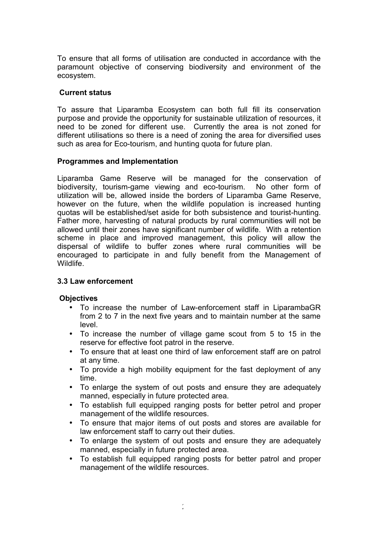To ensure that all forms of utilisation are conducted in accordance with the paramount objective of conserving biodiversity and environment of the ecosystem.

#### **Current status**

To assure that Liparamba Ecosystem can both full fill its conservation purpose and provide the opportunity for sustainable utilization of resources, it need to be zoned for different use. Currently the area is not zoned for different utilisations so there is a need of zoning the area for diversified uses such as area for Eco-tourism, and hunting quota for future plan.

#### **Programmes and Implementation**

Liparamba Game Reserve will be managed for the conservation of biodiversity, tourism-game viewing and eco-tourism. No other form of utilization will be, allowed inside the borders of Liparamba Game Reserve, however on the future, when the wildlife population is increased hunting quotas will be established/set aside for both subsistence and tourist-hunting. Father more, harvesting of natural products by rural communities will not be allowed until their zones have significant number of wildlife. With a retention scheme in place and improved management, this policy will allow the dispersal of wildlife to buffer zones where rural communities will be encouraged to participate in and fully benefit from the Management of Wildlife.

## **3.3 Law enforcement**

## **Objectives**

- To increase the number of Law-enforcement staff in LiparambaGR from 2 to 7 in the next five years and to maintain number at the same level.
- To increase the number of village game scout from 5 to 15 in the reserve for effective foot patrol in the reserve.
- To ensure that at least one third of law enforcement staff are on patrol at any time.
- To provide a high mobility equipment for the fast deployment of any time.
- To enlarge the system of out posts and ensure they are adequately manned, especially in future protected area.
- To establish full equipped ranging posts for better petrol and proper management of the wildlife resources.
- To ensure that major items of out posts and stores are available for law enforcement staff to carry out their duties.
- To enlarge the system of out posts and ensure they are adequately manned, especially in future protected area.
- To establish full equipped ranging posts for better patrol and proper management of the wildlife resources.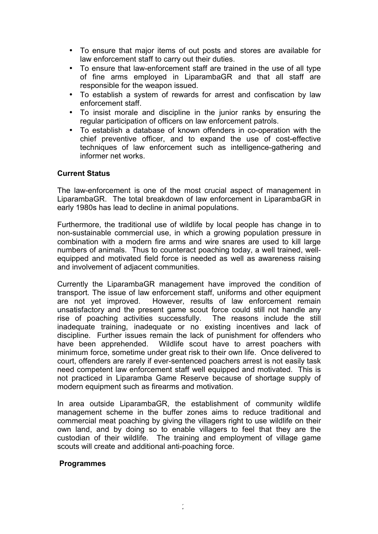- To ensure that major items of out posts and stores are available for law enforcement staff to carry out their duties.
- To ensure that law-enforcement staff are trained in the use of all type of fine arms employed in LiparambaGR and that all staff are responsible for the weapon issued.
- To establish a system of rewards for arrest and confiscation by law enforcement staff.
- To insist morale and discipline in the junior ranks by ensuring the regular participation of officers on law enforcement patrols.
- To establish a database of known offenders in co-operation with the chief preventive officer, and to expand the use of cost-effective techniques of law enforcement such as intelligence-gathering and informer net works.

#### **Current Status**

The law-enforcement is one of the most crucial aspect of management in LiparambaGR. The total breakdown of law enforcement in LiparambaGR in early 1980s has lead to decline in animal populations.

Furthermore, the traditional use of wildlife by local people has change in to non-sustainable commercial use, in which a growing population pressure in combination with a modern fire arms and wire snares are used to kill large numbers of animals. Thus to counteract poaching today, a well trained, wellequipped and motivated field force is needed as well as awareness raising and involvement of adjacent communities.

Currently the LiparambaGR management have improved the condition of transport. The issue of law enforcement staff, uniforms and other equipment are not yet improved. However, results of law enforcement remain unsatisfactory and the present game scout force could still not handle any rise of poaching activities successfully. The reasons include the still inadequate training, inadequate or no existing incentives and lack of discipline. Further issues remain the lack of punishment for offenders who have been apprehended. Wildlife scout have to arrest poachers with minimum force, sometime under great risk to their own life. Once delivered to court, offenders are rarely if ever-sentenced poachers arrest is not easily task need competent law enforcement staff well equipped and motivated. This is not practiced in Liparamba Game Reserve because of shortage supply of modern equipment such as firearms and motivation.

In area outside LiparambaGR, the establishment of community wildlife management scheme in the buffer zones aims to reduce traditional and commercial meat poaching by giving the villagers right to use wildlife on their own land, and by doing so to enable villagers to feel that they are the custodian of their wildlife. The training and employment of village game scouts will create and additional anti-poaching force.

#### **Programmes**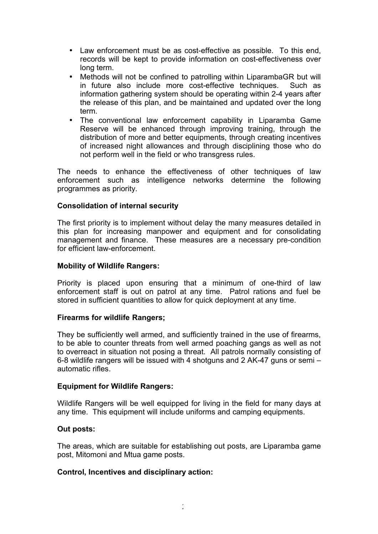- Law enforcement must be as cost-effective as possible. To this end, records will be kept to provide information on cost-effectiveness over long term.
- Methods will not be confined to patrolling within LiparambaGR but will in future also include more cost-effective techniques. Such as information gathering system should be operating within 2-4 years after the release of this plan, and be maintained and updated over the long term.
- The conventional law enforcement capability in Liparamba Game Reserve will be enhanced through improving training, through the distribution of more and better equipments, through creating incentives of increased night allowances and through disciplining those who do not perform well in the field or who transgress rules.

The needs to enhance the effectiveness of other techniques of law enforcement such as intelligence networks determine the following programmes as priority.

## **Consolidation of internal security**

The first priority is to implement without delay the many measures detailed in this plan for increasing manpower and equipment and for consolidating management and finance. These measures are a necessary pre-condition for efficient law-enforcement.

#### **Mobility of Wildlife Rangers:**

Priority is placed upon ensuring that a minimum of one-third of law enforcement staff is out on patrol at any time. Patrol rations and fuel be stored in sufficient quantities to allow for quick deployment at any time.

#### **Firearms for wildlife Rangers;**

They be sufficiently well armed, and sufficiently trained in the use of firearms, to be able to counter threats from well armed poaching gangs as well as not to overreact in situation not posing a threat. All patrols normally consisting of 6-8 wildlife rangers will be issued with 4 shotguns and 2 AK-47 guns or semi – automatic rifles.

## **Equipment for Wildlife Rangers:**

Wildlife Rangers will be well equipped for living in the field for many days at any time. This equipment will include uniforms and camping equipments.

#### **Out posts:**

The areas, which are suitable for establishing out posts, are Liparamba game post, Mitomoni and Mtua game posts.

#### **Control, Incentives and disciplinary action:**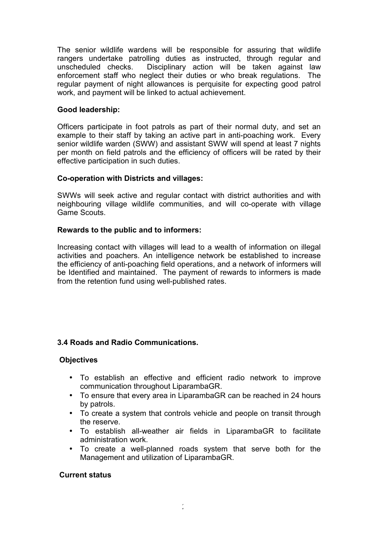The senior wildlife wardens will be responsible for assuring that wildlife rangers undertake patrolling duties as instructed, through regular and unscheduled checks. Disciplinary action will be taken against law enforcement staff who neglect their duties or who break regulations. The regular payment of night allowances is perquisite for expecting good patrol work, and payment will be linked to actual achievement.

## **Good leadership:**

Officers participate in foot patrols as part of their normal duty, and set an example to their staff by taking an active part in anti-poaching work. Every senior wildlife warden (SWW) and assistant SWW will spend at least 7 nights per month on field patrols and the efficiency of officers will be rated by their effective participation in such duties.

## **Co-operation with Districts and villages:**

SWWs will seek active and regular contact with district authorities and with neighbouring village wildlife communities, and will co-operate with village Game Scouts.

## **Rewards to the public and to informers:**

Increasing contact with villages will lead to a wealth of information on illegal activities and poachers. An intelligence network be established to increase the efficiency of anti-poaching field operations, and a network of informers will be Identified and maintained. The payment of rewards to informers is made from the retention fund using well-published rates.

# **3.4 Roads and Radio Communications.**

## **Objectives**

- To establish an effective and efficient radio network to improve communication throughout LiparambaGR.
- To ensure that every area in LiparambaGR can be reached in 24 hours by patrols.
- To create a system that controls vehicle and people on transit through the reserve.
- To establish all-weather air fields in LiparambaGR to facilitate administration work.
- To create a well-planned roads system that serve both for the Management and utilization of LiparambaGR.

## **Current status**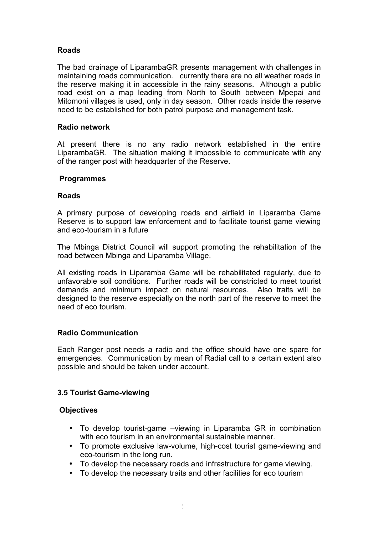# **Roads**

The bad drainage of LiparambaGR presents management with challenges in maintaining roads communication. currently there are no all weather roads in the reserve making it in accessible in the rainy seasons. Although a public road exist on a map leading from North to South between Mpepai and Mitomoni villages is used, only in day season. Other roads inside the reserve need to be established for both patrol purpose and management task.

## **Radio network**

At present there is no any radio network established in the entire LiparambaGR. The situation making it impossible to communicate with any of the ranger post with headquarter of the Reserve.

## **Programmes**

## **Roads**

A primary purpose of developing roads and airfield in Liparamba Game Reserve is to support law enforcement and to facilitate tourist game viewing and eco-tourism in a future

The Mbinga District Council will support promoting the rehabilitation of the road between Mbinga and Liparamba Village.

All existing roads in Liparamba Game will be rehabilitated regularly, due to unfavorable soil conditions. Further roads will be constricted to meet tourist demands and minimum impact on natural resources. Also traits will be designed to the reserve especially on the north part of the reserve to meet the need of eco tourism.

## **Radio Communication**

Each Ranger post needs a radio and the office should have one spare for emergencies. Communication by mean of Radial call to a certain extent also possible and should be taken under account.

# **3.5 Tourist Game-viewing**

## **Objectives**

- To develop tourist-game –viewing in Liparamba GR in combination with eco tourism in an environmental sustainable manner.
- To promote exclusive law-volume, high-cost tourist game-viewing and eco-tourism in the long run.
- To develop the necessary roads and infrastructure for game viewing.
- To develop the necessary traits and other facilities for eco tourism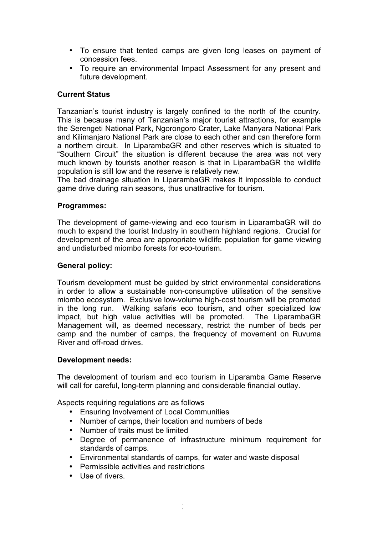- To ensure that tented camps are given long leases on payment of concession fees.
- To require an environmental Impact Assessment for any present and future development.

## **Current Status**

Tanzanian's tourist industry is largely confined to the north of the country. This is because many of Tanzanian's major tourist attractions, for example the Serengeti National Park, Ngorongoro Crater, Lake Manyara National Park and Kilimanjaro National Park are close to each other and can therefore form a northern circuit. In LiparambaGR and other reserves which is situated to "Southern Circuit" the situation is different because the area was not very much known by tourists another reason is that in LiparambaGR the wildlife population is still low and the reserve is relatively new.

The bad drainage situation in LiparambaGR makes it impossible to conduct game drive during rain seasons, thus unattractive for tourism.

## **Programmes:**

The development of game-viewing and eco tourism in LiparambaGR will do much to expand the tourist Industry in southern highland regions. Crucial for development of the area are appropriate wildlife population for game viewing and undisturbed miombo forests for eco-tourism.

### **General policy:**

Tourism development must be guided by strict environmental considerations in order to allow a sustainable non-consumptive utilisation of the sensitive miombo ecosystem. Exclusive low-volume high-cost tourism will be promoted in the long run. Walking safaris eco tourism, and other specialized low impact, but high value activities will be promoted. The LiparambaGR Management will, as deemed necessary, restrict the number of beds per camp and the number of camps, the frequency of movement on Ruvuma River and off-road drives.

#### **Development needs:**

The development of tourism and eco tourism in Liparamba Game Reserve will call for careful, long-term planning and considerable financial outlay.

Aspects requiring regulations are as follows

- Ensuring Involvement of Local Communities
- Number of camps, their location and numbers of beds
- Number of traits must be limited
- Degree of permanence of infrastructure minimum requirement for standards of camps.
- Environmental standards of camps, for water and waste disposal
- Permissible activities and restrictions
- Use of rivers.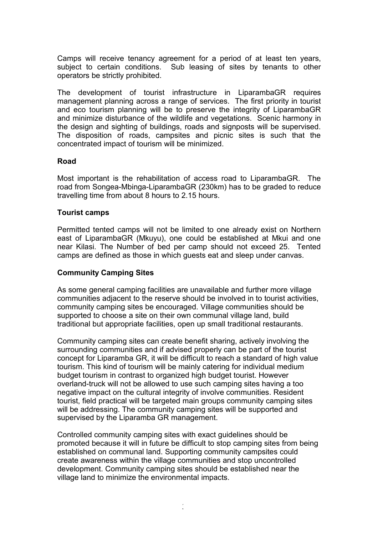Camps will receive tenancy agreement for a period of at least ten years, subject to certain conditions. Sub leasing of sites by tenants to other operators be strictly prohibited.

The development of tourist infrastructure in LiparambaGR requires management planning across a range of services. The first priority in tourist and eco tourism planning will be to preserve the integrity of LiparambaGR and minimize disturbance of the wildlife and vegetations. Scenic harmony in the design and sighting of buildings, roads and signposts will be supervised. The disposition of roads, campsites and picnic sites is such that the concentrated impact of tourism will be minimized.

#### **Road**

Most important is the rehabilitation of access road to LiparambaGR. The road from Songea-Mbinga-LiparambaGR (230km) has to be graded to reduce travelling time from about 8 hours to 2.15 hours.

#### **Tourist camps**

Permitted tented camps will not be limited to one already exist on Northern east of LiparambaGR (Mkuyu), one could be established at Mkui and one near Kilasi. The Number of bed per camp should not exceed 25. Tented camps are defined as those in which guests eat and sleep under canvas.

#### **Community Camping Sites**

As some general camping facilities are unavailable and further more village communities adjacent to the reserve should be involved in to tourist activities, community camping sites be encouraged. Village communities should be supported to choose a site on their own communal village land, build traditional but appropriate facilities, open up small traditional restaurants.

Community camping sites can create benefit sharing, actively involving the surrounding communities and if advised properly can be part of the tourist concept for Liparamba GR, it will be difficult to reach a standard of high value tourism. This kind of tourism will be mainly catering for individual medium budget tourism in contrast to organized high budget tourist. However overland-truck will not be allowed to use such camping sites having a too negative impact on the cultural integrity of involve communities. Resident tourist, field practical will be targeted main groups community camping sites will be addressing. The community camping sites will be supported and supervised by the Liparamba GR management.

Controlled community camping sites with exact guidelines should be promoted because it will in future be difficult to stop camping sites from being established on communal land. Supporting community campsites could create awareness within the village communities and stop uncontrolled development. Community camping sites should be established near the village land to minimize the environmental impacts.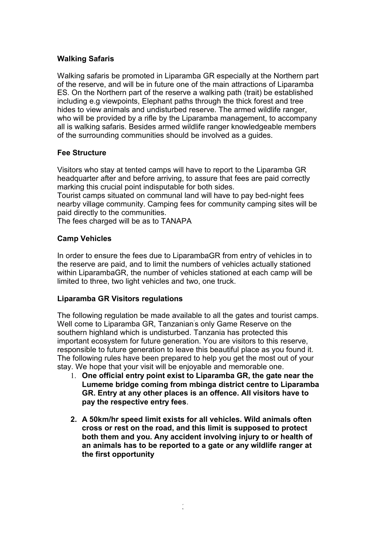## **Walking Safaris**

Walking safaris be promoted in Liparamba GR especially at the Northern part of the reserve, and will be in future one of the main attractions of Liparamba ES. On the Northern part of the reserve a walking path (trait) be established including e.g viewpoints, Elephant paths through the thick forest and tree hides to view animals and undisturbed reserve. The armed wildlife ranger, who will be provided by a rifle by the Liparamba management, to accompany all is walking safaris. Besides armed wildlife ranger knowledgeable members of the surrounding communities should be involved as a guides.

## **Fee Structure**

Visitors who stay at tented camps will have to report to the Liparamba GR headquarter after and before arriving, to assure that fees are paid correctly marking this crucial point indisputable for both sides.

Tourist camps situated on communal land will have to pay bed-night fees nearby village community. Camping fees for community camping sites will be paid directly to the communities.

The fees charged will be as to TANAPA

## **Camp Vehicles**

In order to ensure the fees due to LiparambaGR from entry of vehicles in to the reserve are paid, and to limit the numbers of vehicles actually stationed within LiparambaGR, the number of vehicles stationed at each camp will be limited to three, two light vehicles and two, one truck.

## **Liparamba GR Visitors regulations**

The following regulation be made available to all the gates and tourist camps. Well come to Liparamba GR, Tanzanian 's only Game Reserve on the southern highland which is undisturbed. Tanzania has protected this important ecosystem for future generation. You are visitors to this reserve, responsible to future generation to leave this beautiful place as you found it. The following rules have been prepared to help you get the most out of your stay. We hope that your visit will be enjoyable and memorable one.

- 1. **One official entry point exist to Liparamba GR, the gate near the Lumeme bridge coming from mbinga district centre to Liparamba GR. Entry at any other places is an offence. All visitors have to pay the respective entry fees**.
- **2. A 50km/hr speed limit exists for all vehicles. Wild animals often cross or rest on the road, and this limit is supposed to protect both them and you. Any accident involving injury to or health of an animals has to be reported to a gate or any wildlife ranger at the first opportunity**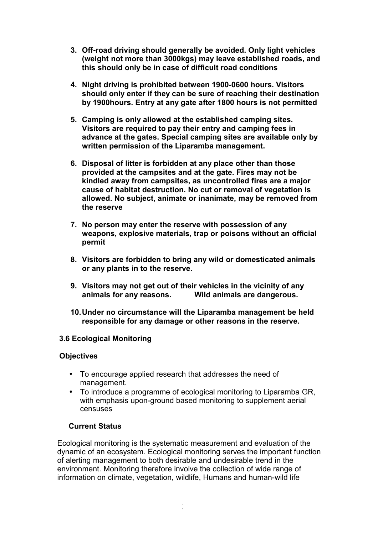- **3. Off-road driving should generally be avoided. Only light vehicles (weight not more than 3000kgs) may leave established roads, and this should only be in case of difficult road conditions**
- **4. Night driving is prohibited between 1900-0600 hours. Visitors should only enter if they can be sure of reaching their destination by 1900hours. Entry at any gate after 1800 hours is not permitted**
- **5. Camping is only allowed at the established camping sites. Visitors are required to pay their entry and camping fees in advance at the gates. Special camping sites are available only by written permission of the Liparamba management.**
- **6. Disposal of litter is forbidden at any place other than those provided at the campsites and at the gate. Fires may not be kindled away from campsites, as uncontrolled fires are a major cause of habitat destruction. No cut or removal of vegetation is allowed. No subject, animate or inanimate, may be removed from the reserve**
- **7. No person may enter the reserve with possession of any weapons, explosive materials, trap or poisons without an official permit**
- **8. Visitors are forbidden to bring any wild or domesticated animals or any plants in to the reserve.**
- **9. Visitors may not get out of their vehicles in the vicinity of any animals for any reasons. Wild animals are dangerous.**
- **10.Under no circumstance will the Liparamba management be held responsible for any damage or other reasons in the reserve.**

# **3.6 Ecological Monitoring**

## **Objectives**

- To encourage applied research that addresses the need of management.
- To introduce a programme of ecological monitoring to Liparamba GR, with emphasis upon-ground based monitoring to supplement aerial censuses

# **Current Status**

Ecological monitoring is the systematic measurement and evaluation of the dynamic of an ecosystem. Ecological monitoring serves the important function of alerting management to both desirable and undesirable trend in the environment. Monitoring therefore involve the collection of wide range of information on climate, vegetation, wildlife, Humans and human-wild life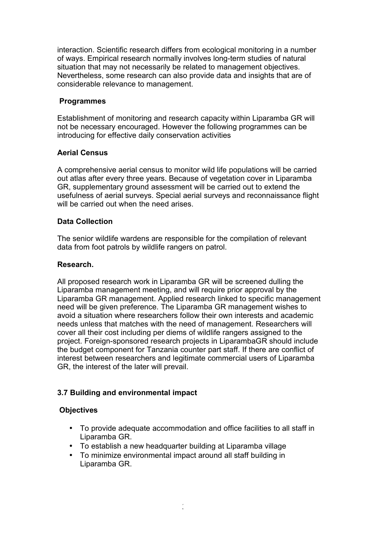interaction. Scientific research differs from ecological monitoring in a number of ways. Empirical research normally involves long-term studies of natural situation that may not necessarily be related to management objectives. Nevertheless, some research can also provide data and insights that are of considerable relevance to management.

## **Programmes**

Establishment of monitoring and research capacity within Liparamba GR will not be necessary encouraged. However the following programmes can be introducing for effective daily conservation activities

## **Aerial Census**

A comprehensive aerial census to monitor wild life populations will be carried out atlas after every three years. Because of vegetation cover in Liparamba GR, supplementary ground assessment will be carried out to extend the usefulness of aerial surveys. Special aerial surveys and reconnaissance flight will be carried out when the need arises.

## **Data Collection**

The senior wildlife wardens are responsible for the compilation of relevant data from foot patrols by wildlife rangers on patrol.

## **Research.**

All proposed research work in Liparamba GR will be screened dulling the Liparamba management meeting, and will require prior approval by the Liparamba GR management. Applied research linked to specific management need will be given preference. The Liparamba GR management wishes to avoid a situation where researchers follow their own interests and academic needs unless that matches with the need of management. Researchers will cover all their cost including per diems of wildlife rangers assigned to the project. Foreign-sponsored research projects in LiparambaGR should include the budget component for Tanzania counter part staff. If there are conflict of interest between researchers and legitimate commercial users of Liparamba GR, the interest of the later will prevail.

# **3.7 Building and environmental impact**

# **Objectives**

- To provide adequate accommodation and office facilities to all staff in Liparamba GR.
- To establish a new headquarter building at Liparamba village
- To minimize environmental impact around all staff building in Liparamba GR.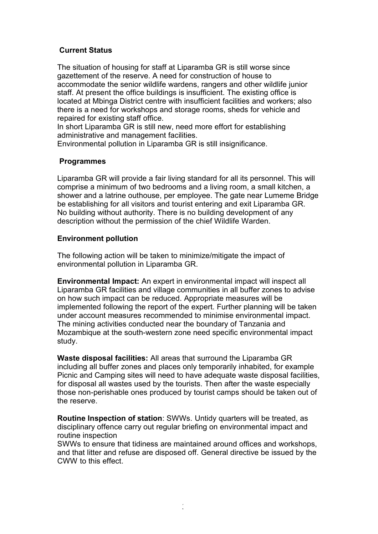## **Current Status**

The situation of housing for staff at Liparamba GR is still worse since gazettement of the reserve. A need for construction of house to accommodate the senior wildlife wardens, rangers and other wildlife junior staff. At present the office buildings is insufficient. The existing office is located at Mbinga District centre with insufficient facilities and workers; also there is a need for workshops and storage rooms, sheds for vehicle and repaired for existing staff office.

In short Liparamba GR is still new, need more effort for establishing administrative and management facilities.

Environmental pollution in Liparamba GR is still insignificance.

## **Programmes**

Liparamba GR will provide a fair living standard for all its personnel. This will comprise a minimum of two bedrooms and a living room, a small kitchen, a shower and a latrine outhouse, per employee. The gate near Lumeme Bridge be establishing for all visitors and tourist entering and exit Liparamba GR. No building without authority. There is no building development of any description without the permission of the chief Wildlife Warden.

## **Environment pollution**

The following action will be taken to minimize/mitigate the impact of environmental pollution in Liparamba GR.

**Environmental Impact:** An expert in environmental impact will inspect all Liparamba GR facilities and village communities in all buffer zones to advise on how such impact can be reduced. Appropriate measures will be implemented following the report of the expert. Further planning will be taken under account measures recommended to minimise environmental impact. The mining activities conducted near the boundary of Tanzania and Mozambique at the south-western zone need specific environmental impact study.

**Waste disposal facilities:** All areas that surround the Liparamba GR including all buffer zones and places only temporarily inhabited, for example Picnic and Camping sites will need to have adequate waste disposal facilities, for disposal all wastes used by the tourists. Then after the waste especially those non-perishable ones produced by tourist camps should be taken out of the reserve.

**Routine Inspection of station**: SWWs. Untidy quarters will be treated, as disciplinary offence carry out regular briefing on environmental impact and routine inspection

SWWs to ensure that tidiness are maintained around offices and workshops, and that litter and refuse are disposed off. General directive be issued by the CWW to this effect.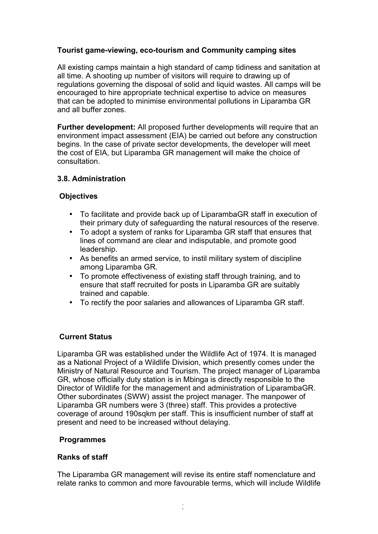# **Tourist game-viewing, eco-tourism and Community camping sites**

All existing camps maintain a high standard of camp tidiness and sanitation at all time. A shooting up number of visitors will require to drawing up of regulations governing the disposal of solid and liquid wastes. All camps will be encouraged to hire appropriate technical expertise to advice on measures that can be adopted to minimise environmental pollutions in Liparamba GR and all buffer zones.

**Further development:** All proposed further developments will require that an environment impact assessment (EIA) be carried out before any construction begins. In the case of private sector developments, the developer will meet the cost of EIA, but Liparamba GR management will make the choice of consultation.

## **3.8. Administration**

## **Objectives**

- To facilitate and provide back up of LiparambaGR staff in execution of their primary duty of safeguarding the natural resources of the reserve.
- To adopt a system of ranks for Liparamba GR staff that ensures that lines of command are clear and indisputable, and promote good leadership.
- As benefits an armed service, to instil military system of discipline among Liparamba GR.
- To promote effectiveness of existing staff through training, and to ensure that staff recruited for posts in Liparamba GR are suitably trained and capable.
- To rectify the poor salaries and allowances of Liparamba GR staff.

## **Current Status**

Liparamba GR was established under the Wildlife Act of 1974. It is managed as a National Project of a Wildlife Division, which presently comes under the Ministry of Natural Resource and Tourism. The project manager of Liparamba GR, whose officially duty station is in Mbinga is directly responsible to the Director of Wildlife for the management and administration of LiparambaGR. Other subordinates (SWW) assist the project manager. The manpower of Liparamba GR numbers were 3 (three) staff. This provides a protective coverage of around 190sqkm per staff. This is insufficient number of staff at present and need to be increased without delaying.

## **Programmes**

## **Ranks of staff**

The Liparamba GR management will revise its entire staff nomenclature and relate ranks to common and more favourable terms, which will include Wildlife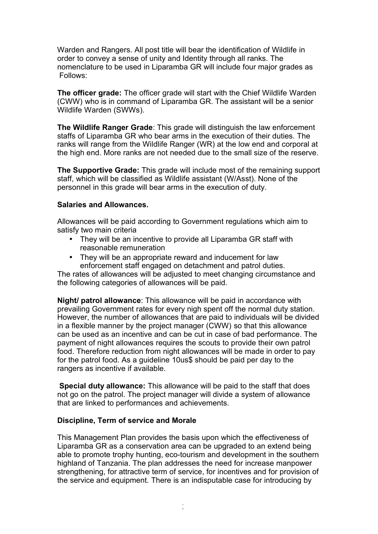Warden and Rangers. All post title will bear the identification of Wildlife in order to convey a sense of unity and Identity through all ranks. The nomenclature to be used in Liparamba GR will include four major grades as Follows:

**The officer grade:** The officer grade will start with the Chief Wildlife Warden (CWW) who is in command of Liparamba GR. The assistant will be a senior Wildlife Warden (SWWs).

**The Wildlife Ranger Grade**: This grade will distinguish the law enforcement staffs of Liparamba GR who bear arms in the execution of their duties. The ranks will range from the Wildlife Ranger (WR) at the low end and corporal at the high end. More ranks are not needed due to the small size of the reserve.

**The Supportive Grade:** This grade will include most of the remaining support staff, which will be classified as Wildlife assistant (W/Asst). None of the personnel in this grade will bear arms in the execution of duty.

#### **Salaries and Allowances.**

Allowances will be paid according to Government regulations which aim to satisfy two main criteria

- They will be an incentive to provide all Liparamba GR staff with reasonable remuneration
- They will be an appropriate reward and inducement for law enforcement staff engaged on detachment and patrol duties.

The rates of allowances will be adjusted to meet changing circumstance and the following categories of allowances will be paid.

**Night/ patrol allowance**: This allowance will be paid in accordance with prevailing Government rates for every nigh spent off the normal duty station. However, the number of allowances that are paid to individuals will be divided in a flexible manner by the project manager (CWW) so that this allowance can be used as an incentive and can be cut in case of bad performance. The payment of night allowances requires the scouts to provide their own patrol food. Therefore reduction from night allowances will be made in order to pay for the patrol food. As a guideline 10us\$ should be paid per day to the rangers as incentive if available.

**Special duty allowance:** This allowance will be paid to the staff that does not go on the patrol. The project manager will divide a system of allowance that are linked to performances and achievements.

## **Discipline, Term of service and Morale**

This Management Plan provides the basis upon which the effectiveness of Liparamba GR as a conservation area can be upgraded to an extend being able to promote trophy hunting, eco-tourism and development in the southern highland of Tanzania. The plan addresses the need for increase manpower strengthening, for attractive term of service, for incentives and for provision of the service and equipment. There is an indisputable case for introducing by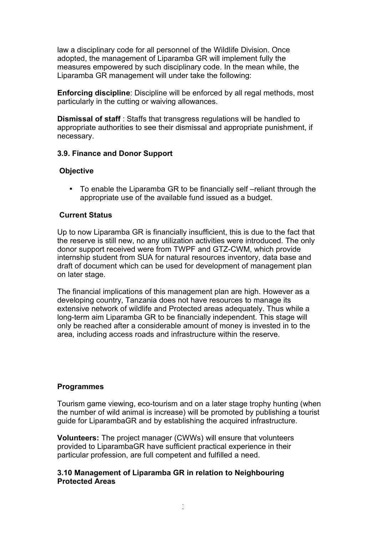law a disciplinary code for all personnel of the Wildlife Division. Once adopted, the management of Liparamba GR will implement fully the measures empowered by such disciplinary code. In the mean while, the Liparamba GR management will under take the following:

**Enforcing discipline**: Discipline will be enforced by all regal methods, most particularly in the cutting or waiving allowances.

**Dismissal of staff** : Staffs that transgress regulations will be handled to appropriate authorities to see their dismissal and appropriate punishment, if necessary.

## **3.9. Finance and Donor Support**

#### **Objective**

• To enable the Liparamba GR to be financially self –reliant through the appropriate use of the available fund issued as a budget.

#### **Current Status**

Up to now Liparamba GR is financially insufficient, this is due to the fact that the reserve is still new, no any utilization activities were introduced. The only donor support received were from TWPF and GTZ-CWM, which provide internship student from SUA for natural resources inventory, data base and draft of document which can be used for development of management plan on later stage.

The financial implications of this management plan are high. However as a developing country, Tanzania does not have resources to manage its extensive network of wildlife and Protected areas adequately. Thus while a long-term aim Liparamba GR to be financially independent. This stage will only be reached after a considerable amount of money is invested in to the area, including access roads and infrastructure within the reserve.

#### **Programmes**

Tourism game viewing, eco-tourism and on a later stage trophy hunting (when the number of wild animal is increase) will be promoted by publishing a tourist guide for LiparambaGR and by establishing the acquired infrastructure.

**Volunteers:** The project manager (CWWs) will ensure that volunteers provided to LiparambaGR have sufficient practical experience in their particular profession, are full competent and fulfilled a need.

## **3.10 Management of Liparamba GR in relation to Neighbouring Protected Areas**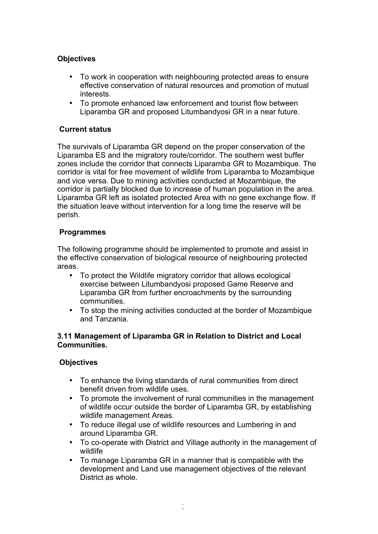# **Objectives**

- To work in cooperation with neighbouring protected areas to ensure effective conservation of natural resources and promotion of mutual interests.
- To promote enhanced law enforcement and tourist flow between Liparamba GR and proposed Litumbandyosi GR in a near future.

# **Current status**

The survivals of Liparamba GR depend on the proper conservation of the Liparamba ES and the migratory route/corridor. The southern west buffer zones include the corridor that connects Liparamba GR to Mozambique. The corridor is vital for free movement of wildlife from Liparamba to Mozambique and vice versa. Due to mining activities conducted at Mozambique, the corridor is partially blocked due to increase of human population in the area. Liparamba GR left as isolated protected Area with no gene exchange flow. If the situation leave without intervention for a long time the reserve will be perish.

# **Programmes**

The following programme should be implemented to promote and assist in the effective conservation of biological resource of neighbouring protected areas.

- To protect the Wildlife migratory corridor that allows ecological exercise between Litumbandyosi proposed Game Reserve and Liparamba GR from further encroachments by the surrounding communities.
- To stop the mining activities conducted at the border of Mozambique and Tanzania.

# **3.11 Management of Liparamba GR in Relation to District and Local Communities.**

# **Objectives**

- To enhance the living standards of rural communities from direct benefit driven from wildlife uses.
- To promote the involvement of rural communities in the management of wildlife occur outside the border of Liparamba GR, by establishing wildlife management Areas.
- To reduce illegal use of wildlife resources and Lumbering in and around Liparamba GR.
- To co-operate with District and Village authority in the management of wildlife
- To manage Liparamba GR in a manner that is compatible with the development and Land use management objectives of the relevant District as whole.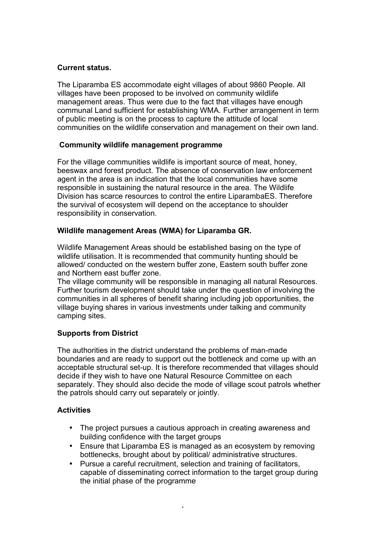## **Current status.**

The Liparamba ES accommodate eight villages of about 9860 People. All villages have been proposed to be involved on community wildlife management areas. Thus were due to the fact that villages have enough communal Land sufficient for establishing WMA. Further arrangement in term of public meeting is on the process to capture the attitude of local communities on the wildlife conservation and management on their own land.

## **Community wildlife management programme**

For the village communities wildlife is important source of meat, honey, beeswax and forest product. The absence of conservation law enforcement agent in the area is an indication that the local communities have some responsible in sustaining the natural resource in the area. The Wildlife Division has scarce resources to control the entire LiparambaES. Therefore the survival of ecosystem will depend on the acceptance to shoulder responsibility in conservation.

## **Wildlife management Areas (WMA) for Liparamba GR.**

Wildlife Management Areas should be established basing on the type of wildlife utilisation. It is recommended that community hunting should be allowed/ conducted on the western buffer zone, Eastern south buffer zone and Northern east buffer zone.

The village community will be responsible in managing all natural Resources. Further tourism development should take under the question of involving the communities in all spheres of benefit sharing including job opportunities, the village buying shares in various investments under talking and community camping sites.

# **Supports from District**

The authorities in the district understand the problems of man-made boundaries and are ready to support out the bottleneck and come up with an acceptable structural set-up. It is therefore recommended that villages should decide if they wish to have one Natural Resource Committee on each separately. They should also decide the mode of village scout patrols whether the patrols should carry out separately or jointly.

# **Activities**

- The project pursues a cautious approach in creating awareness and building confidence with the target groups
- Ensure that Liparamba ES is managed as an ecosystem by removing bottlenecks, brought about by political/ administrative structures.
- Pursue a careful recruitment, selection and training of facilitators, capable of disseminating correct information to the target group during the initial phase of the programme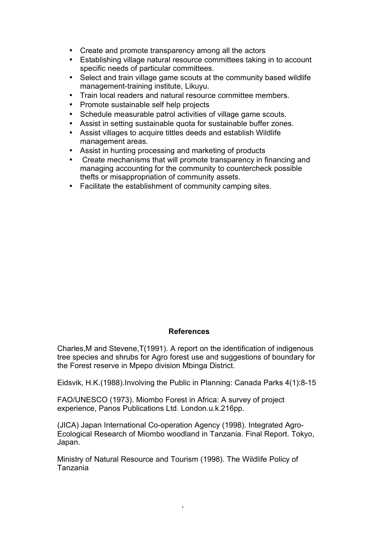- Create and promote transparency among all the actors
- Establishing village natural resource committees taking in to account specific needs of particular committees.
- Select and train village game scouts at the community based wildlife management-training institute, Likuyu.
- Train local readers and natural resource committee members.
- Promote sustainable self help projects
- Schedule measurable patrol activities of village game scouts.
- Assist in setting sustainable quota for sustainable buffer zones.
- Assist villages to acquire tittles deeds and establish Wildlife management areas.
- Assist in hunting processing and marketing of products
- Create mechanisms that will promote transparency in financing and managing accounting for the community to countercheck possible thefts or misappropriation of community assets.
- Facilitate the establishment of community camping sites.

## **References**

Charles,M and Stevene,T(1991). A report on the identification of indigenous tree species and shrubs for Agro forest use and suggestions of boundary for the Forest reserve in Mpepo division Mbinga District.

Eidsvik, H.K.(1988).Involving the Public in Planning: Canada Parks 4(1):8-15

FAO/UNESCO (1973). Miombo Forest in Africa: A survey of project experience, Panos Publications Ltd. London.u.k.216pp.

(JICA) Japan International Co-operation Agency (1998). Integrated Agro-Ecological Research of Miombo woodland in Tanzania. Final Report. Tokyo, Japan.

Ministry of Natural Resource and Tourism (1998). The Wildlife Policy of Tanzania